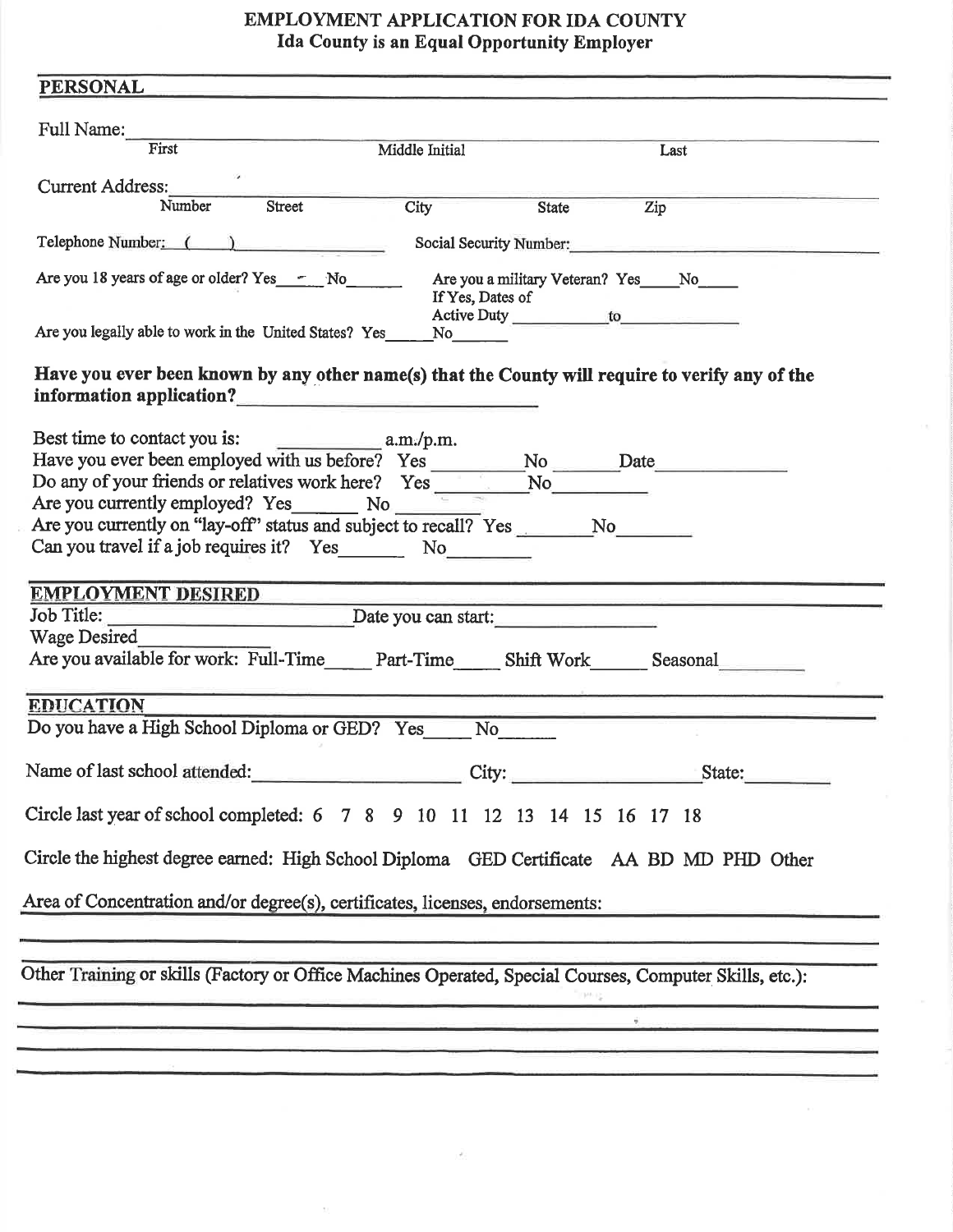## EMPLOYMENT APPLICATION FOR IDA COUNTY Ida County is an Equal Opportunity Employer

| Full Name:                                                                                                  |                |       |                                                                                                                                                                                                                                                                                                                                                                                                                                     |
|-------------------------------------------------------------------------------------------------------------|----------------|-------|-------------------------------------------------------------------------------------------------------------------------------------------------------------------------------------------------------------------------------------------------------------------------------------------------------------------------------------------------------------------------------------------------------------------------------------|
| First                                                                                                       | Middle Initial |       | Last                                                                                                                                                                                                                                                                                                                                                                                                                                |
| <b>Current Address:</b>                                                                                     |                |       |                                                                                                                                                                                                                                                                                                                                                                                                                                     |
| Street<br>Number                                                                                            | City           | State | Zip                                                                                                                                                                                                                                                                                                                                                                                                                                 |
| Telephone Number: ( )                                                                                       |                |       | Social Security Number:                                                                                                                                                                                                                                                                                                                                                                                                             |
| Are you 18 years of age or older? Yes Fig. No.                                                              |                |       | Are you a military Veteran? Yes____No____                                                                                                                                                                                                                                                                                                                                                                                           |
| Are you legally able to work in the United States? Yes                                                      | No             |       |                                                                                                                                                                                                                                                                                                                                                                                                                                     |
| Have you ever been known by any other name(s) that the County will require to verify any of the             |                |       |                                                                                                                                                                                                                                                                                                                                                                                                                                     |
| information application?<br><u> and</u> information application?                                            |                |       |                                                                                                                                                                                                                                                                                                                                                                                                                                     |
| Best time to contact you is: a.m./p.m.                                                                      |                |       |                                                                                                                                                                                                                                                                                                                                                                                                                                     |
|                                                                                                             |                |       |                                                                                                                                                                                                                                                                                                                                                                                                                                     |
| Do any of your friends or relatives work here? $Yes$ $\overline{\phantom{1}}$ No $\overline{\phantom{1}}$   |                |       |                                                                                                                                                                                                                                                                                                                                                                                                                                     |
| Are you currently employed? Yes No                                                                          |                |       |                                                                                                                                                                                                                                                                                                                                                                                                                                     |
| Are you currently on "lay-off" status and subject to recall? Yes No                                         |                |       |                                                                                                                                                                                                                                                                                                                                                                                                                                     |
| Can you travel if a job requires it? Yes No No                                                              |                |       |                                                                                                                                                                                                                                                                                                                                                                                                                                     |
|                                                                                                             |                |       |                                                                                                                                                                                                                                                                                                                                                                                                                                     |
|                                                                                                             |                |       |                                                                                                                                                                                                                                                                                                                                                                                                                                     |
|                                                                                                             |                |       |                                                                                                                                                                                                                                                                                                                                                                                                                                     |
| <b>EMPLOYMENT DESIRED</b>                                                                                   |                |       | departments and a management of the control of the                                                                                                                                                                                                                                                                                                                                                                                  |
| Job Title: <u>Date</u> you can start:                                                                       |                |       |                                                                                                                                                                                                                                                                                                                                                                                                                                     |
|                                                                                                             |                |       |                                                                                                                                                                                                                                                                                                                                                                                                                                     |
| Wage Desired<br>Are you available for work: Full-Time_____ Part-Time_____ Shift Work______ Seasonal________ |                |       |                                                                                                                                                                                                                                                                                                                                                                                                                                     |
|                                                                                                             |                |       |                                                                                                                                                                                                                                                                                                                                                                                                                                     |
| <b>EDUCATION</b>                                                                                            |                |       |                                                                                                                                                                                                                                                                                                                                                                                                                                     |
| Do you have a High School Diploma or GED? Yes                                                               | No             |       |                                                                                                                                                                                                                                                                                                                                                                                                                                     |
|                                                                                                             |                |       |                                                                                                                                                                                                                                                                                                                                                                                                                                     |
| Name of last school attended:<br>City: City: State:                                                         |                |       |                                                                                                                                                                                                                                                                                                                                                                                                                                     |
|                                                                                                             |                |       |                                                                                                                                                                                                                                                                                                                                                                                                                                     |
| Circle last year of school completed: 6 7 8 9 10 11 12 13 14 15 16 17 18                                    |                |       |                                                                                                                                                                                                                                                                                                                                                                                                                                     |
|                                                                                                             |                |       |                                                                                                                                                                                                                                                                                                                                                                                                                                     |
| Circle the highest degree earned: High School Diploma GED Certificate AA BD MD PHD Other                    |                |       |                                                                                                                                                                                                                                                                                                                                                                                                                                     |
|                                                                                                             |                |       |                                                                                                                                                                                                                                                                                                                                                                                                                                     |
| Area of Concentration and/or degree(s), certificates, licenses, endorsements:                               |                |       |                                                                                                                                                                                                                                                                                                                                                                                                                                     |
|                                                                                                             |                |       |                                                                                                                                                                                                                                                                                                                                                                                                                                     |
|                                                                                                             |                |       |                                                                                                                                                                                                                                                                                                                                                                                                                                     |
| Other Training or skills (Factory or Office Machines Operated, Special Courses, Computer Skills, etc.):     |                |       |                                                                                                                                                                                                                                                                                                                                                                                                                                     |
|                                                                                                             |                |       | $\mathbb{E}[\mathcal{P}^{\text{in}}] = \mathbb{E}[\mathcal{P}^{\text{in}}] = \mathbb{E}[\mathcal{P}^{\text{in}}] = \mathbb{E}[\mathcal{P}^{\text{in}}] = \mathbb{E}[\mathcal{P}^{\text{in}}] = \mathbb{E}[\mathcal{P}^{\text{in}}] = \mathbb{E}[\mathcal{P}^{\text{in}}] = \mathbb{E}[\mathcal{P}^{\text{in}}] = \mathbb{E}[\mathcal{P}^{\text{in}}] = \mathbb{E}[\mathcal{P}^{\text{in}}] = \mathbb{E}[\mathcal{P}^{\text{in}}] =$ |